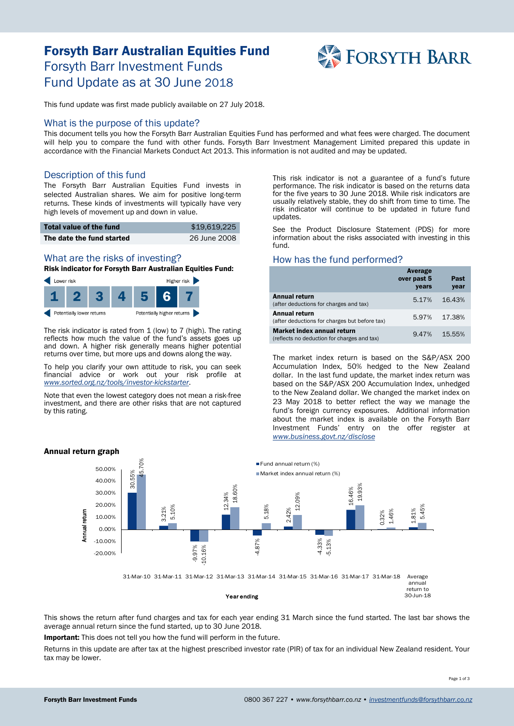# Forsyth Barr Australian Equities Fund Forsyth Barr Investment Funds Fund Update as at 30 June 2018



This fund update was first made publicly available on 27 July 2018.

#### What is the purpose of this update?

This document tells you how the Forsyth Barr Australian Equities Fund has performed and what fees were charged. The document will help you to compare the fund with other funds. Forsyth Barr Investment Management Limited prepared this update in accordance with the Financial Markets Conduct Act 2013. This information is not audited and may be updated.

## Description of this fund

The Forsyth Barr Australian Equities Fund invests in selected Australian shares. We aim for positive long-term returns. These kinds of investments will typically have very high levels of movement up and down in value.

| Total value of the fund   | \$19,619,225 |
|---------------------------|--------------|
| The date the fund started | 26 June 2008 |

# What are the risks of investing?

Risk indicator for Forsyth Barr Australian Equities Fund:



The risk indicator is rated from  $1$  (low) to 7 (high). The rating reflects how much the value of the fund's assets goes up and down. A higher risk generally means higher potential returns over time, but more ups and downs along the way.

To help you clarify your own attitude to risk, you can seek financial advice or work out your risk profile at *[www.sorted.org.nz/tools/investor-kickstarter](http://www.sorted.org.nz/tools/investor-kickstarter)*.

Note that even the lowest category does not mean a risk-free investment, and there are other risks that are not captured by this rating.

This risk indicator is not a guarantee of a fund's future performance. The risk indicator is based on the returns data for the five years to 30 June 2018. While risk indicators are usually relatively stable, they do shift from time to time. The risk indicator will continue to be updated in future fund updates.

See the Product Disclosure Statement (PDS) for more information about the risks associated with investing in this fund.

#### How has the fund performed?

|                                                                           | Average<br>over past 5<br>years | Past<br>year |
|---------------------------------------------------------------------------|---------------------------------|--------------|
| Annual return<br>(after deductions for charges and tax)                   | 5.17%                           | 16.43%       |
| Annual return<br>(after deductions for charges but before tax)            | 5.97%                           | 17.38%       |
| Market index annual return<br>(reflects no deduction for charges and tax) | 9.47%                           | 15.55%       |

The market index return is based on the S&P/ASX 200 Accumulation Index, 50% hedged to the New Zealand dollar. In the last fund update, the market index return was based on the S&P/ASX 200 Accumulation Index, unhedged to the New Zealand dollar. We changed the market index on 23 May 2018 to better reflect the way we manage the fund's foreign currency exposures. Additional information about the market index is available on the Forsyth Barr Investment Funds' entry on the offer register at *[www.business.govt.nz/disclose](http://www.business.govt.nz/disclose)*



This shows the return after fund charges and tax for each year ending 31 March since the fund started. The last bar shows the average annual return since the fund started, up to 30 June 2018.

Important: This does not tell you how the fund will perform in the future.

Returns in this update are after tax at the highest prescribed investor rate (PIR) of tax for an individual New Zealand resident. Your tax may be lower.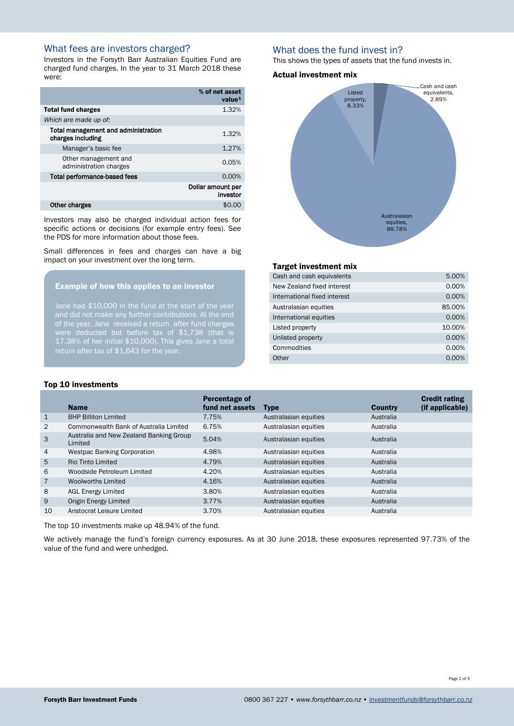# What fees are investors charged?

Investors in the Forsyth Barr Australian Equities Fund are charged fund charges. In the year to 31 March 2018 these were:

|                                                          | % of net asset<br>value <sup>1</sup> |
|----------------------------------------------------------|--------------------------------------|
| <b>Total fund charges</b>                                | 1.32%                                |
| Which are made up of:                                    |                                      |
| Total management and administration<br>charges including | 1.32%                                |
| Manager's basic fee                                      | 1.27%                                |
| Other management and<br>administration charges           | 0.05%                                |
| Total performance-based fees                             | 0.00%                                |
|                                                          | Dollar amount per<br>investor        |
| <b>Other charges</b>                                     | \$0                                  |

Investors may also be charged individual action fees for specific actions or decisions (for example entry fees). See the PDS for more information about those fees.

Small differences in fees and charges can have a big impact on your investment over the long term.

#### Example of how this applies to an investor

Jane had \$10,000 in the fund at the start of the year of the year, Jane received a return after fund charges were deducted but before tax of \$1,738 (that is 17.38% of her initial \$10,000). This gives Jane a total return after tax of \$1,643 for the year.

## What does the fund invest in?

This shows the types of assets that the fund invests in.

#### Actual investment mix



#### Target investment mix

| Cash and cash equivalents    | 5.00%    |
|------------------------------|----------|
| New Zealand fixed interest   | 0.00%    |
| International fixed interest | 0.00%    |
| Australasian equities        | 85.00%   |
| International equities       | 0.00%    |
| Listed property              | 10.00%   |
| Unlisted property            | 0.00%    |
| Commodities                  | 0.00%    |
| Other                        | $0.00\%$ |

#### Top 10 investments

|                | <b>Name</b>                                        | Percentage of<br>fund net assets | <b>Type</b>           | <b>Country</b> | <b>Credit rating</b><br>(if applicable) |
|----------------|----------------------------------------------------|----------------------------------|-----------------------|----------------|-----------------------------------------|
| $\mathbf{1}$   | <b>BHP Billiton Limited</b>                        | 7.75%                            | Australasian equities | Australia      |                                         |
| 2              | Commonwealth Bank of Australia Limited             | 6.75%                            | Australasian equities | Australia      |                                         |
| 3              | Australia and New Zealand Banking Group<br>Limited | 5.04%                            | Australasian equities | Australia      |                                         |
| $\overline{4}$ | <b>Westpac Banking Corporation</b>                 | 4.98%                            | Australasian equities | Australia      |                                         |
| 5              | Rio Tinto Limited                                  | 4.79%                            | Australasian equities | Australia      |                                         |
| 6              | Woodside Petroleum Limited                         | 4.20%                            | Australasian equities | Australia      |                                         |
| $\overline{7}$ | Woolworths Limited                                 | 4.16%                            | Australasian equities | Australia      |                                         |
| 8              | <b>AGL Energy Limited</b>                          | 3.80%                            | Australasian equities | Australia      |                                         |
| 9              | Origin Energy Limited                              | 3.77%                            | Australasian equities | Australia      |                                         |
| 10             | Aristocrat Leisure Limited                         | 3.70%                            | Australasian equities | Australia      |                                         |

The top 10 investments make up 48.94% of the fund.

We actively manage the fund's foreign currency exposures. As at 30 June 2018, these exposures represented 97.73% of the value of the fund and were unhedged.